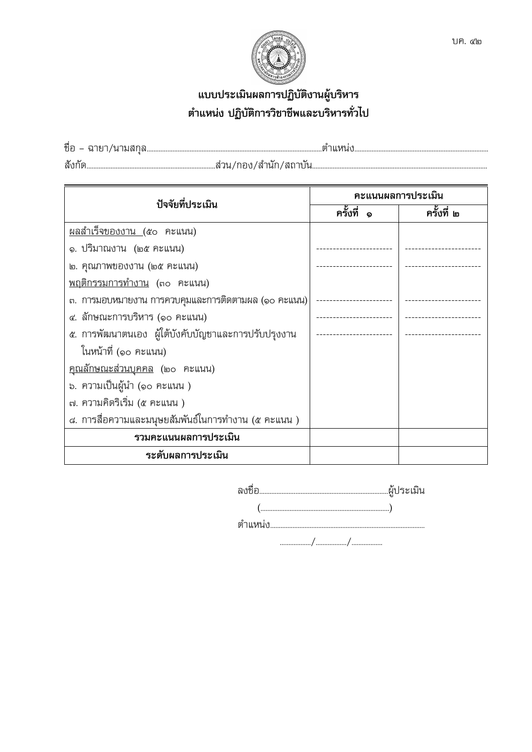

# แบบประเมินผลการปฏิบัติงานผู้บริหาร ตำแหน่ง ปฏิบัติการวิชาชีพและบริหารทั่วไป

| ปัจจัยที่ประเมิน                                    | คะแนนผลการประเมิน |            |  |
|-----------------------------------------------------|-------------------|------------|--|
|                                                     | ครั้งที่          | ครั้งที่ ๒ |  |
| <u>ผลสำเร็จของงาน (</u> ๕๐ คะแนน)                   |                   |            |  |
| ๑. ปริมาณงาน  (๒๕ คะแนน)                            |                   |            |  |
| ๒. คุณภาพของงาน (๒๕ คะแนน)                          |                   |            |  |
| พฤติกรรมการทำงาน (๓๐ คะแนน)                         |                   |            |  |
| ๓. การมอบหมายงาน การควบคุมและการติดตามผล (๑๐ คะแนน) |                   |            |  |
| ๔. ลักษณะการบริหาร (๑๐ คะแนน)                       |                   |            |  |
| ๕. การพัฒนาตนเอง ผู้ใต้บังคับบัญชาและการปรับปรุงงาน |                   |            |  |
| ในหน้าที่ (๑๐ คะแนน)                                |                   |            |  |
| <u>คุณลักษณะส่วนบุคคล</u> (๒๐ คะแนน)                |                   |            |  |
| ่ ๖. ความเป็นผู้นำ (๑๐ คะแนน )                      |                   |            |  |
| ๗. ความคิดริเริ่ม (๕ คะแนน )                        |                   |            |  |
| ๘. การสื่อความและมนุษยสัมพันธ์ในการทำงาน (๕ คะแนน ) |                   |            |  |
| รวมคะแนนผลการประเมิน                                |                   |            |  |
| ระดับผลการประเมิน                                   |                   |            |  |

|         | .ฝั่ประเมิน |
|---------|-------------|
|         |             |
| ตำแหน่ง |             |
|         |             |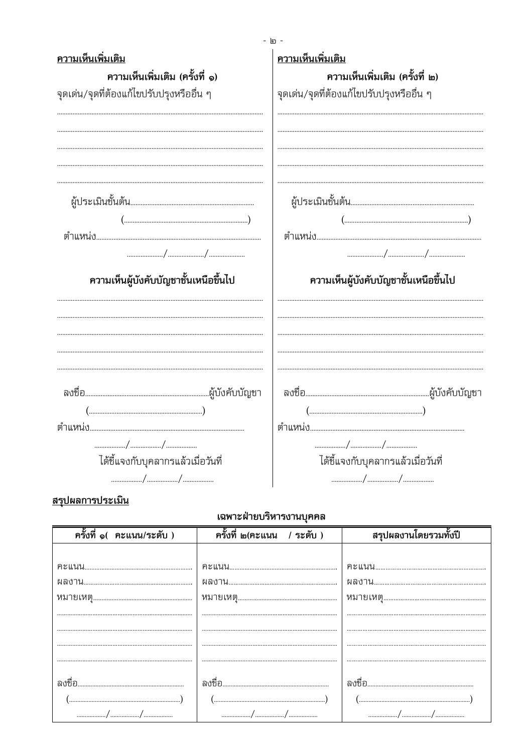| ความเห็นเพิ่มเติม<br>ความเห็นเพิ่มเติม (ครั้งที่ ๑)<br>จุดเด่น/จุดที่ต้องแก้ไขปรับปรุงหรืออื่น ๆ                                                                                                                                                                                                                    | ത -<br>ความเห็นเพิ่มเติม<br>ความเห็นเพิ่มเติม (ครั้งที่ ๒)<br>จุดเด่น/จุดที่ต้องแก้ไขปรับปรุงหรืออื่น ๆ                                                                                                                                                                                                             |
|---------------------------------------------------------------------------------------------------------------------------------------------------------------------------------------------------------------------------------------------------------------------------------------------------------------------|---------------------------------------------------------------------------------------------------------------------------------------------------------------------------------------------------------------------------------------------------------------------------------------------------------------------|
|                                                                                                                                                                                                                                                                                                                     |                                                                                                                                                                                                                                                                                                                     |
| $\left(\begin{array}{ccc} \dots & \dots & \dots & \dots & \dots & \dots \end{array}\right)$                                                                                                                                                                                                                         | $\left(\begin{array}{ccc} \rule{0mm}{6mm} \rule{0mm}{6mm} \rule{0mm}{3mm} \end{array}\right)$                                                                                                                                                                                                                       |
|                                                                                                                                                                                                                                                                                                                     |                                                                                                                                                                                                                                                                                                                     |
| $\frac{1}{2}$ $\frac{1}{2}$ $\frac{1}{2}$ $\frac{1}{2}$ $\frac{1}{2}$ $\frac{1}{2}$ $\frac{1}{2}$ $\frac{1}{2}$ $\frac{1}{2}$ $\frac{1}{2}$ $\frac{1}{2}$ $\frac{1}{2}$ $\frac{1}{2}$ $\frac{1}{2}$ $\frac{1}{2}$ $\frac{1}{2}$ $\frac{1}{2}$ $\frac{1}{2}$ $\frac{1}{2}$ $\frac{1}{2}$ $\frac{1}{2}$ $\frac{1}{2}$ |                                                                                                                                                                                                                                                                                                                     |
| ความเห็นผู้บังคับบัญชาชั้นเหนือขึ้นไป                                                                                                                                                                                                                                                                               | ความเห็นผู้บังคับบัญชาชั้นเหนือขึ้นไป                                                                                                                                                                                                                                                                               |
|                                                                                                                                                                                                                                                                                                                     |                                                                                                                                                                                                                                                                                                                     |
| $\left(\begin{array}{ccc}\n\ldots & \ldots & \ldots & \ldots & \ldots \\ \ldots & \ldots & \ldots & \ldots & \ldots & \ldots\n\end{array}\right)$                                                                                                                                                                   | $\left(\begin{array}{ccc}\n\ldots & \ldots & \ldots & \ldots & \ldots & \ldots\n\end{array}\right)$                                                                                                                                                                                                                 |
|                                                                                                                                                                                                                                                                                                                     |                                                                                                                                                                                                                                                                                                                     |
| $\frac{1}{2}$ $\frac{1}{2}$ $\frac{1}{2}$ $\frac{1}{2}$ $\frac{1}{2}$ $\frac{1}{2}$ $\frac{1}{2}$ $\frac{1}{2}$ $\frac{1}{2}$ $\frac{1}{2}$ $\frac{1}{2}$ $\frac{1}{2}$ $\frac{1}{2}$ $\frac{1}{2}$ $\frac{1}{2}$ $\frac{1}{2}$ $\frac{1}{2}$ $\frac{1}{2}$ $\frac{1}{2}$ $\frac{1}{2}$ $\frac{1}{2}$ $\frac{1}{2}$ | $\frac{1}{2}$ $\frac{1}{2}$ $\frac{1}{2}$ $\frac{1}{2}$ $\frac{1}{2}$ $\frac{1}{2}$ $\frac{1}{2}$ $\frac{1}{2}$ $\frac{1}{2}$ $\frac{1}{2}$ $\frac{1}{2}$ $\frac{1}{2}$ $\frac{1}{2}$ $\frac{1}{2}$ $\frac{1}{2}$ $\frac{1}{2}$ $\frac{1}{2}$ $\frac{1}{2}$ $\frac{1}{2}$ $\frac{1}{2}$ $\frac{1}{2}$ $\frac{1}{2}$ |
| ได้ชี้แจงกับบุคลากรแล้วเมื่อวันที่                                                                                                                                                                                                                                                                                  | ได้ชี้แจงกับบุคลากรแล้วเมื่อวันที่                                                                                                                                                                                                                                                                                  |
| $\frac{1}{2}$ $\frac{1}{2}$ $\frac{1}{2}$ $\frac{1}{2}$ $\frac{1}{2}$ $\frac{1}{2}$ $\frac{1}{2}$ $\frac{1}{2}$ $\frac{1}{2}$ $\frac{1}{2}$ $\frac{1}{2}$ $\frac{1}{2}$ $\frac{1}{2}$ $\frac{1}{2}$ $\frac{1}{2}$ $\frac{1}{2}$ $\frac{1}{2}$ $\frac{1}{2}$ $\frac{1}{2}$ $\frac{1}{2}$ $\frac{1}{2}$ $\frac{1}{2}$ | $\frac{1}{2}$ $\frac{1}{2}$ $\frac{1}{2}$ $\frac{1}{2}$ $\frac{1}{2}$ $\frac{1}{2}$ $\frac{1}{2}$ $\frac{1}{2}$ $\frac{1}{2}$ $\frac{1}{2}$ $\frac{1}{2}$ $\frac{1}{2}$ $\frac{1}{2}$ $\frac{1}{2}$ $\frac{1}{2}$ $\frac{1}{2}$ $\frac{1}{2}$ $\frac{1}{2}$ $\frac{1}{2}$ $\frac{1}{2}$ $\frac{1}{2}$ $\frac{1}{2}$ |

 $\mathbf{v}$ 

# <u>สรุปผลการประเมิน</u>

## เฉพาะฝ่ายบริหารงานบคคล

| ครั้งที่ ๑( คะแนน/ระดับ )                                                                                                                                                                                                                                                                                           | ครั้งที่ ๒(คะแนน / ระดับ )                                                                                                                                                                                                        | สรุปผลงานโดยรวมทั้งปี                                                             |
|---------------------------------------------------------------------------------------------------------------------------------------------------------------------------------------------------------------------------------------------------------------------------------------------------------------------|-----------------------------------------------------------------------------------------------------------------------------------------------------------------------------------------------------------------------------------|-----------------------------------------------------------------------------------|
|                                                                                                                                                                                                                                                                                                                     |                                                                                                                                                                                                                                   |                                                                                   |
|                                                                                                                                                                                                                                                                                                                     |                                                                                                                                                                                                                                   |                                                                                   |
|                                                                                                                                                                                                                                                                                                                     |                                                                                                                                                                                                                                   |                                                                                   |
|                                                                                                                                                                                                                                                                                                                     |                                                                                                                                                                                                                                   |                                                                                   |
|                                                                                                                                                                                                                                                                                                                     |                                                                                                                                                                                                                                   |                                                                                   |
|                                                                                                                                                                                                                                                                                                                     |                                                                                                                                                                                                                                   |                                                                                   |
|                                                                                                                                                                                                                                                                                                                     |                                                                                                                                                                                                                                   |                                                                                   |
|                                                                                                                                                                                                                                                                                                                     |                                                                                                                                                                                                                                   |                                                                                   |
|                                                                                                                                                                                                                                                                                                                     |                                                                                                                                                                                                                                   |                                                                                   |
| ิลเหทค                                                                                                                                                                                                                                                                                                              |                                                                                                                                                                                                                                   |                                                                                   |
| $\left(\begin{array}{ccc}\n\cdots & \cdots & \cdots & \cdots & \cdots \\ \vdots & \cdots & \cdots & \cdots & \cdots & \cdots \\ \vdots & \cdots & \cdots & \cdots & \cdots & \cdots\n\end{array}\right)$                                                                                                            | $\left(\begin{array}{ccc}\n\ldots & \ldots & \ldots & \ldots & \ldots\n\end{array}\right)$                                                                                                                                        | $\left(\begin{array}{ccc}\n\cdots & \cdots & \cdots & \cdots\n\end{array}\right)$ |
| $\frac{1}{2}$ $\frac{1}{2}$ $\frac{1}{2}$ $\frac{1}{2}$ $\frac{1}{2}$ $\frac{1}{2}$ $\frac{1}{2}$ $\frac{1}{2}$ $\frac{1}{2}$ $\frac{1}{2}$ $\frac{1}{2}$ $\frac{1}{2}$ $\frac{1}{2}$ $\frac{1}{2}$ $\frac{1}{2}$ $\frac{1}{2}$ $\frac{1}{2}$ $\frac{1}{2}$ $\frac{1}{2}$ $\frac{1}{2}$ $\frac{1}{2}$ $\frac{1}{2}$ | $\frac{1}{2}$ . The contract of the contract of the contract of the contract of the contract of the contract of the contract of the contract of the contract of the contract of the contract of the contract of the contract of t |                                                                                   |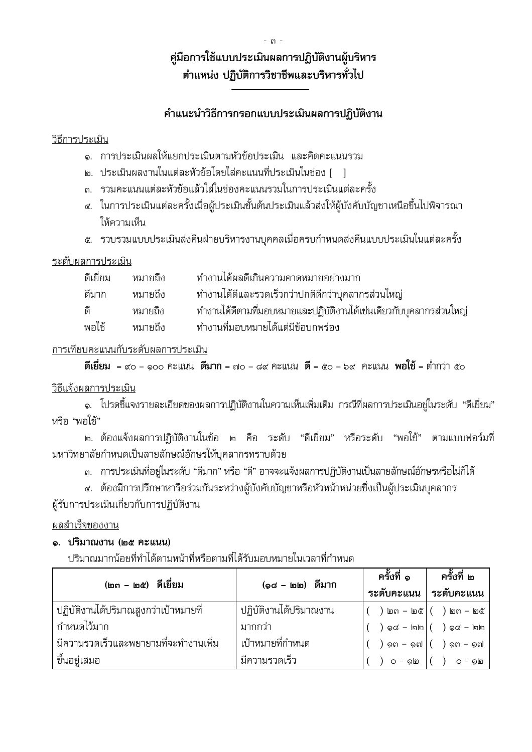# คู่มือการใช้แบบประเมินผลการปฏิบัติงานผู้บริหาร ตำแหน่ง ปฏิบัติการวิชาชีพและบริหารทั่วไป

## คำแนะนำวิธีการกรอกแบบประเมินผลการปฏิบัติงาน

#### วิธีการประเมิน

- ๑. การประเมินผลให้แยกประเมินตามหัวข้อประเมิน และคิดคะแนนรวม
- ๒. ประเมินผลงานในแต่ละหัวข้อโดยใส่คะแนนที่ประเมินในช่อง [ ]
- .๓. รวมคะแนนแต่ละหัวข้อแล้วใส่ในช่องคะแนนรวมในการประเมินแต่ละครั้ง
- ๔. ในการประเมินแต่ละครั้งเมื่อผู้ประเมินชั้นต้นประเมินแล้วส่งให้ผู้บังคับบัญชาเหนือขึ้นไปพิจารณา ให้ความเห็น
- ่ ๕. รวบรวมแบบประเมินส่งคืนฝ่ายบริหารงานบุคคลเมื่อครบกำหนดส่งคืนแบบประเมินในแต่ละครั้ง

### ระดับผลการประเมิน

| ดีเยี่ยม | หมายถึง | ทำงานได้ผลดีเกินความคาดหมายอย่างมาก                                |
|----------|---------|--------------------------------------------------------------------|
| ดีมาก    | หมายถึง | ทำงานได้ดีและรวดเร็วกว่าปกติดีกว่าบุคลากรส่วนใหญ่                  |
| ดี       | หมายถึง | ทำงานได้ดีตามที่มอบหมายและปฏิบัติงานได้เช่นเดียวกับบุคลากรส่วนใหญ่ |
| พอใช้    | หมายถึง | ทำงานที่มอบหมายได้แต่มีข้อบกพร่อง                                  |

### การเทียบคะแนนกับระดับผลการประเมิน

```
\vec{\mathsf{a}}เยี่ยม  = ๙o – ๑๐๐ ฅะแนน  ดีมาก = ๗o – ๘๙ ฅะแนน  ดี = ๕๐ – ๖๙  ฅะแนน  พอใช้ = ต่ำกว่า ๕๐
```
## วิธีแจ้งผลการประเมิน

๑. โปรดชี้แจงรายละเอียดของผลการปฏิบัติงานในความเห็นเพิ่มเติม กรณีที่ผลการประเมินอยู่ในระดับ "ดีเยี่ยม" หรือ "พอใช้"

๒. ต้องแจ้งผลการปฏิบัติงานในข้อ ๒ คือ ระดับ "ดีเยี่ยม" หรือระดับ "พอใช้" ตามแบบฟอร์มที่ มหาวิทยาลัยกำหนดเป็นลายลักษณ์อักษรให้บุคลากรทราบด้วย

.๓. การประเมินที่อยู่ในระดับ "ดีมาก" หรือ "ดี" อาจจะแจ้งผลการปฏิบัติงานเป็นลายลักษณ์อักษรหรือไม่ก็ได้

๔. ต้องมีการปรึกษาหารือร่วมกันระหว่างผู้บังคับบัญชาหรือหัวหน้าหน่วยซึ่งเป็นผู้ประเมินบุคลากร ผู้รับการประเมินเกี่ยวกับการปฏิบัติงาน

## ผลสำเร็จของงาน

## ๑. ปริมาณงาน (๒๕ คะแนน)

ปริมาณมากน้อยที่ทำได้ตามหน้าที่หรือตามที่ได้รับมอบหมายในเวลาที่กำหนด

| (๒๓ – ๒๕) ดีเยี่ยม                    | (๑๘ - ๒๒) ดีมาก        | ครั้งที่ ๑  | ครั้งที่ ๒              |
|---------------------------------------|------------------------|-------------|-------------------------|
|                                       |                        | ระดับคะแนน  | ระดับคะแนน              |
| ปฏิบัติงานได้ปริมาณสูงกว่าเป้าหมายที่ | ปฏิบัติงานได้ปริมาณงาน |             | ) ២ព – ២៥ $($ ) ២ព – ២៥ |
| กำหนดไว้มาก                           | มากกว่า                | $)$ ඉය – bb | $)$ ඉය – lහු            |
| มีความรวดเร็วและพยายามที่จะทำงานเพิ่ม | เป้าหมายที่กำหนด       | ๑๓ - ๑๗     | ๑๓ - ๑๗                 |
| ขึ้นอยู่เสมอ                          | มีความรวดเร็ว          | O - ஙெ      | - ஒ]                    |

 $m$   $-$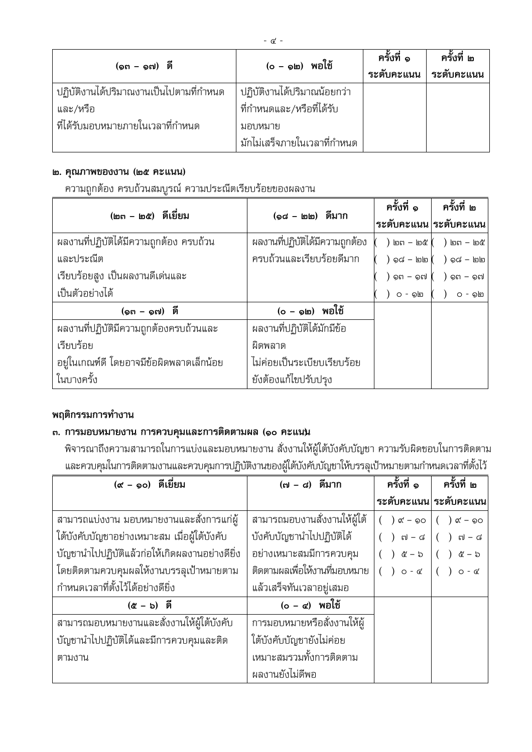| (๑๓ – ๑๗) ดี                                        | (o – ๑๒) พอใช้                                           | ครั้งที่ ๑<br>ระดับคะแนน | ครั้งที่ ๒<br>ระดับคะแนน |
|-----------------------------------------------------|----------------------------------------------------------|--------------------------|--------------------------|
| ปฏิบัติงานได้ปริมาณงานเป็นไปตามที่กำหนด<br>และ/หรือ | ปฏิบัติงานได้ปริมาณน้อยกว่า<br>ที่กำหนดและ/หรือที่ได้รับ |                          |                          |
| ที่ได้รับมอบหมายภายในเวลาที่กำหนด                   | มอบหมาย<br>มักไม่เสร็จภายในเวลาที่กำหนด                  |                          |                          |

#### ๒. คุณภาพของงาน (๒๕ คะแนน)

ความถูกต้อง ครบถ้วนสมบูรณ์ ความประณีตเรียบร้อยของผลงาน

| (๒๓ – ๒๕) ดีเยี่ยม                       |                                 | ครั้งที่ ๑ $\blacksquare$       | ครั้งที่ ๒                                  |
|------------------------------------------|---------------------------------|---------------------------------|---------------------------------------------|
|                                          | (๑๘ - ๒๒) ตีมาก                 | ระดับคะแนน ระดับคะแนน           |                                             |
| ้ผลงานที่ปฏิบัติได้มีความถูกต้อง ครบถ้วน | ผลงานที่ปฏิบัติได้มีความถูกต้อง |                                 | $($ ) bn – bc $($ ) bn – bc $)$             |
| และประณีต                                | ครบถ้วนและเรียบร้อยดีมาก        |                                 | $\big)$ ඉය — lolo $\big($ $\big)$ ඉය — lolo |
| เรียบร้อยสูง เป็นผลงานดีเด่นและ          |                                 | $($ $)$ ๑๓ – ๑๗ $($ $)$ ๑๓ – ๑๗ |                                             |
| เป็นตัวอย่างได้                          |                                 |                                 | $O - \circ 0$ ( ) $O - \circ 0$             |
| $(9n - 9n)$ ดี                           | $(o - \circledcirc)$ พอใช้      |                                 |                                             |
| ผลงานที่ปฏิบัติมีความถูกต้องครบถ้วนและ   | ผลงานที่ปฏิบัติได้มักมีข้อ      |                                 |                                             |
| เรียบร้อย                                | ผิดพลาด                         |                                 |                                             |
| อยู่ในเกณฑ์ดี โดยอาจมีข้อผิดพลาดเล็กน้อย | ไม่ค่อยเป็นระเบียบเรียบร้อย     |                                 |                                             |
| ในบางครั้ง                               | ยังต้องแก้ไขปรับปรุง            |                                 |                                             |

## พฤติกรรมการทำงาน

## ๓. การมอบหมายงาน การควบคุมและการติดตามผล (๑๐ คะแนน

พิจารณาถึงความสามารถในการแบ่งและมอบหมายงาน สั่งงานให้ผู้ใต้บังคับบัญชา ความรับผิดชอบในการติดตาม และควบคุมในการติดตามงานและควบคุมการปฏิบัติงานของผู้ใต้บังคับบัญชาให้บรรลุเป้าหมายตามกำหนดเวลาที่ตั้งไว้

| (๙ - ๑๐) ดีเยี่ยม                              | (๗ – ๘) ดีมาก                 | ครั้งที่ ๑                                                                                                                                | ครั้งที่ ๒                    |
|------------------------------------------------|-------------------------------|-------------------------------------------------------------------------------------------------------------------------------------------|-------------------------------|
|                                                |                               |                                                                                                                                           | ระดับคะแนน ระดับคะแนน         |
| ้สามารถแบ่งงาน มอบหมายงานและสั่งการแก่ผู้      | สามารถมอบงานสั่งงานให้ผู้ใต้  | $( )$ $\alpha' - 90$ $( )$ $\alpha' - 90$                                                                                                 |                               |
| ใต้บังคับบัญชาอย่างเหมาะสม เมื่อผู้ใต้บังคับ   | บังคับบัญชานำไปปฏิบัติได้     | $( )$ $\mathfrak{gl} - \mathfrak{sl}$ $( )$ $\mathfrak{gl} - \mathfrak{sl}$                                                               |                               |
| บัญชานำไปปฏิบัติแล้วก่อให้เกิดผลงานอย่างดียิ่ง | อย่างเหมาะสมมีการควบคุม       | $\left( \begin{array}{c} \end{array} \right)$ $\left( \begin{array}{c} \end{array} \right)$ $\left( \begin{array}{c} \end{array} \right)$ | $\mathfrak{E} - \mathfrak{b}$ |
| โดยติดตามควบคุมผลให้งานบรรลุเป้าหมายตาม        | ติดตามผลเพื่อให้งานที่มอบหมาย | $( )$ 0 - $\alpha$ $( )$ 0 - $\alpha$                                                                                                     |                               |
| กำหนดเวลาที่ตั้งไว้ได้อย่างดียิ่ง              | แล้วเสร็จทันเวลาอยู่เสมอ      |                                                                                                                                           |                               |
| $(\alpha - b)$ $\vec{p}$                       | $(o - \alpha)$ พอใช้          |                                                                                                                                           |                               |
| สามารถมอบหมายงานและสั่งงานให้ผู้ใต้บังคับ      | การมอบหมายหรือสั่งงานให้ผู้   |                                                                                                                                           |                               |
| บัญชานำไปปฏิบัติได้และมีการควบคุมและติด        | ใต้บังคับบัญชายังไม่ค่อย      |                                                                                                                                           |                               |
| ตามงาน                                         | เหมาะสมรวมทั้งการติดตาม       |                                                                                                                                           |                               |
|                                                | ผลงานยังไม่ดีพอ               |                                                                                                                                           |                               |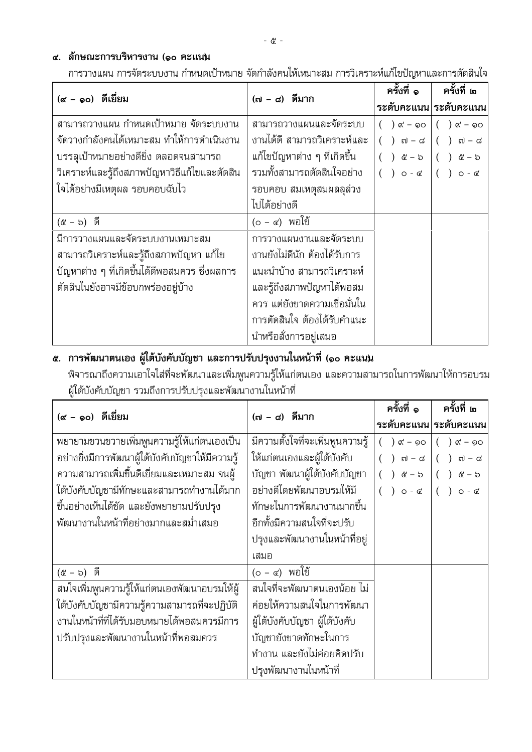## ๔. ลักษณะการบริหารงาน (๑๐ คะแนน

การวางแผน การจัดระบบงาน กำหนดเป้าหมาย จัดกำลังคนให้เหมาะสม การวิเคราะห์แก้ไขปัญหาและการตัดสินใจ

| (๙ - ๑๐) ดีเยี่ยม                             | (๗ – ๘) ดีมาก                | ครั้งที่ ๑                                                                  | ครั้งที่ ๒                      |
|-----------------------------------------------|------------------------------|-----------------------------------------------------------------------------|---------------------------------|
|                                               |                              |                                                                             | ระดับคะแนน ระดับคะแนน           |
| สามารถวางแผน กำหนดเป้าหมาย จัดระบบงาน         | สามารถวางแผนและจัดระบบ       | $( )$ or $-$ 90                                                             | $( ) \; \alpha' - \circledcirc$ |
| จัดวางกำลังคนได้เหมาะสม ทำให้การดำเนินงาน     | งานได้ดี สามารถวิเคราะห์และ  | $( )$ $\mathfrak{gl} - \mathfrak{sl}$ $( )$ $\mathfrak{gl} - \mathfrak{sl}$ |                                 |
| บรรลุเป้าหมายอย่างดียิ่ง ตลอดจนสามารถ         | แก้ไขปัญหาต่าง ๆ ที่เกิดขึ้น | $( ) @ - b ( ) @ - b$                                                       |                                 |
| วิเคราะห์และรู้ถึงสภาพปัญหาวิธีแก้ไขและตัดสิน | รวมทั้งสามารถตัดสินใจอย่าง   | $( )$ 0 - c $( )$ 0 - c                                                     |                                 |
| ใจได้อย่างมีเหตุผล รอบคอบฉับไว                | รอบคอบ สมเหตุสมผลลุล่วง      |                                                                             |                                 |
|                                               | ไปได้อย่างดี                 |                                                                             |                                 |
| $($ & - b) $\bar{p}$                          | $(o - \alpha)$ พอใช้         |                                                                             |                                 |
| มีการวางแผนและจัดระบบงานเหมาะสม               | การวางแผนงานและจัดระบบ       |                                                                             |                                 |
| ้สามารถวิเคราะห์และรู้ถึงสภาพปัญหา แก้ไข      | งานยังไม่ดีนัก ต้องได้รับการ |                                                                             |                                 |
| ปัญหาต่าง ๆ ที่เกิดขึ้นได้ดีพอสมควร ซึ่งผลการ | แนะนำบ้าง สามารถวิเคราะห์    |                                                                             |                                 |
| ตัดสินในยังอาจมีข้อบกพร่องอยู่บ้าง            | และรู้ถึงสภาพปัญหาได้พอสม    |                                                                             |                                 |
|                                               | ควร แต่ยังขาดความเชื่อมั่นใน |                                                                             |                                 |
|                                               | การตัดสินใจ ต้องได้รับคำแนะ  |                                                                             |                                 |
|                                               | นำหรือสั่งการอยู่เสมอ        |                                                                             |                                 |

## ๕. การพัฒนาตนเอง ผู้ใต้บังคับบัญชา และการปรับปรุงงานในหน้าที่ (๑๐ คะแนน

พิจารณาถึงความเอาใจใส่ที่จะพัฒนาและเพิ่มพูนความรู้ให้แก่ตนเอง และความสามารถในการพัฒนาให้การอบรม ผู้ใต้บังคับบัญชา รวมถึงการปรับปรุงและพัฒนางานในหน้าที่

| (๙ - ๑๐) ดีเยี่ยม                                | (๗ - ๘) ดีมาก                    |                             | ครั้งที่ ๒                   |
|--------------------------------------------------|----------------------------------|-----------------------------|------------------------------|
|                                                  |                                  |                             | ระดับคะแนน ระดับคะแนน        |
| พยายามขวนขวายเพิ่มพูนความรู้ให้แก่ตนเองเป็น      | มีความตั้งใจที่จะเพิ่มพูนความรู้ | ଙ୍ $-$ ୭୦                   | $( )$ or $-$ 90              |
| อย่างยิ่งมีการพัฒนาผู้ใต้บังคับบัญชาให้มีความรู้ | ให้แก่ตนเองและผู้ใต้บังคับ       | ៧ – ៨                       | ( )<br>៧ – ៨                 |
| ้ความสามารถเพิ่มขึ้นดีเยี่ยมและเหมาะสม จนผู้     | บัญชา พัฒนาผู้ใต้บังคับบัญชา     | $\mathcal{C} - \mathcal{D}$ | ( )<br>៥ – ៦                 |
| ใต้บังคับบัญชามีทักษะและสามารถทำงานได้มาก        | อย่างดีโดยพัฒนาอบรมให้มี         | $)$ $0 - \alpha$            | $()$ $\circ$ $\circ$ $\circ$ |
| ขึ้นอย่างเห็นได้ชัด และยังพยายามปรับปรุง         | ทักษะในการพัฒนางานมากขึ้น        |                             |                              |
| พัฒนางานในหน้าที่อย่างมากและสม่ำเสมอ             | อีกทั้งมีความสนใจที่จะปรับ       |                             |                              |
|                                                  | ปรุงและพัฒนางานในหน้าที่อยู่     |                             |                              |
|                                                  | เสมอ                             |                             |                              |
| $($ & - b) $\bar{p}$                             | $(o - \alpha)$ พอใช้             |                             |                              |
| สนใจเพิ่มพูนความรู้ให้แก่ตนเองพัฒนาอบรมให้ผู้    | สนใจที่จะพัฒนาตนเองน้อย ไม่      |                             |                              |
| ใต้บังคับบัญชามีความรู้ความสามารถที่จะปฏิบัติ    | ค่อยให้ความสนใจในการพัฒนา        |                             |                              |
| งานในหน้าที่ที่ได้รับมอบหมายได้พอสมควรมีการ      | ผู้ใต้บังคับบัญชา ผู้ใต้บังคับ   |                             |                              |
| ปรับปรุงและพัฒนางานในหน้าที่พอสมควร              | บัญชายังขาดทักษะในการ            |                             |                              |
|                                                  | ทำงาน และยังไม่ค่อยคิดปรับ       |                             |                              |
|                                                  | ปรุงพัฒนางานในหน้าที่            |                             |                              |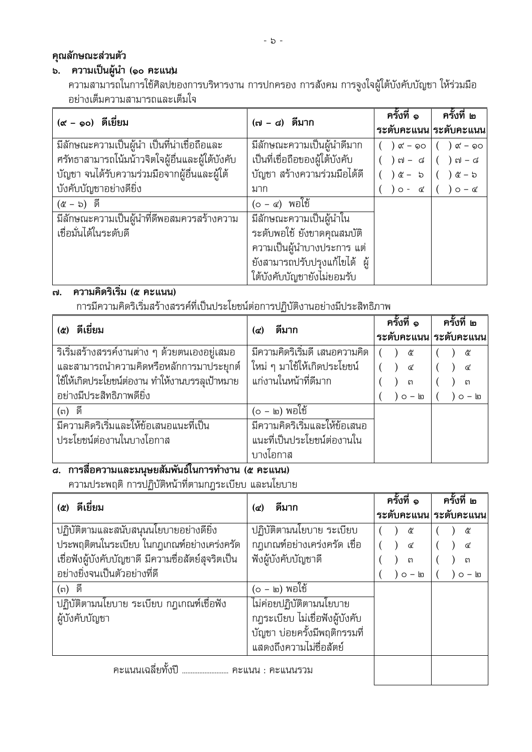## คุณลักษณะส่วนตัว

## ึ<br>๖. ความเป็นผู้นำ (๑๐ คะแนน

้ ความสามารถในการใช้ศิลปของการบริหารงาน การปกครอง การสังคม การจูงใจผู้ใต้บังคับบัญชา ให้ร่วมมือ ้อย่างเต็มความสามารถและเต็มใจ

| (๙ - ๑๐) ดีเยี่ยม                               | (๗ – ๘) ตีมาก                  | ้ครั้งที่ ๑      | ิ ครั้งที่ ๒          |
|-------------------------------------------------|--------------------------------|------------------|-----------------------|
|                                                 |                                |                  | ระดับคะแนน ระดับคะแนน |
| ้มีลักษณะความเป็นผู้นำ เป็นที่น่าเชื่อถือและ    | มีลักษณะความเป็นผู้นำดีมาก     | ) $\alpha'$ – ໑໐ | ) ๙ – ๑๐              |
| ศรัทธาสามารถโน้มน้าวจิตใจผู้อื่นและผู้ใต้บังคับ | เป็นที่เชื่อถือของผู้ใต้บังคับ | ) ๗ – ๘          | ) ๗ – ๘               |
| บัญชา จนได้รับความร่วมมือจากผู้อื่นและผู้ใต้    | ึบัญชา สร้างความร่วมมือได้ดี   | ) ໕ – $5$        | <u>&amp;</u> – ৯      |
| บังคับบัญชาอย่างดียิ่ง                          | มาก                            | $O - G$          | $O - G$               |
| $(\alpha - b)$ ดี                               | $(o - \alpha)$ พอใช้           |                  |                       |
| มีลักษณะความเป็นผู้นำที่ดีพอสมควรสร้างความ      | มีลักษณะความเป็นผู้นำใน        |                  |                       |
| เชื่อมั่นได้ในระดับดี                           | ระดับพอใช้ ยังขาดคุณสมบัติ     |                  |                       |
|                                                 | ความเป็นผู้นำบางประการ แต่     |                  |                       |
|                                                 | ยังสามารถปรับปรุงแก้ไขได้ ผู้  |                  |                       |
|                                                 | ใต้บังคับบัญชายังไม่ยอมรับ     |                  |                       |

## ี<br>๗. ความคิดริเริ่ม (๕ คะแนน)

การมีความคิดริเริ่มสร้างสรรค์ที่เป็นประโยชน์ต่อการปฏิบัติงานอย่างมีประสิทธิภาพ

| ดีเยี่ยม<br>(ළ)                                | ดีมาก                            | ครั้งที่ ๑   | ิ ครั้งที่ ๒          |  |
|------------------------------------------------|----------------------------------|--------------|-----------------------|--|
|                                                | (๔)                              |              | ระดับคะแนน ระดับคะแนน |  |
| ุ ริเริ่มสร้างสรรค์งานต่าง ๆ ด้วยตนเองอยู่เสมอ | ี้มีความคิดริเริ่มดี เสนอความคิด | ๕            | ್ಜಿ                   |  |
| และสามารถนำความคิดหรือหลักการมาประยุกต์        | ใหม่ ๆ มาใช้ให้เกิดประโยชน์      | $\mathbf{r}$ |                       |  |
| ใช้ให้เกิดประโยชน์ต่องาน ทำให้งานบรรลเป้าหมาย  | แก่งานในหน้าที่ดีมาก             | ព            | ព                     |  |
| ้อย่างมีประสิทธิภาพดียิ่ง                      |                                  | ) ០ – ๒      | $O -$ ២               |  |
| (๓) ดี                                         | (o - ๒) พอใช้                    |              |                       |  |
| มีความคิดริเริ่มและให้ข้อเสนอแนะที่เป็น        | มีความคิดริเริ่มและให้ข้อเสนอ    |              |                       |  |
| ประโยชน์ต่องานในบางโอกาส                       | แนะที่เป็นประโยชน์ต่องานใน       |              |                       |  |
|                                                | บางโอกาส                         |              |                       |  |

# ี<br>| a. การสื่อความและมนุษยสัมพันธ์ในการทำงาน (๕ คะแนน)

ความประพฤติ การปฏิบัติหน้าที่ตามกฎระเบียบ และนโยบาย

| ดีเยี่ยม<br>(ළ)                                    | ดีมาก<br>(๔)                   | ้ครั้งที่ ๑<br>ระดับคะแนน ระดับคะแนน | ิครั้งที่ ๒    |
|----------------------------------------------------|--------------------------------|--------------------------------------|----------------|
| ปฏิบัติตามและสนับสนุนนโยบายอย่างดียิ่ง             | ปฏิบัติตามนโยบาย ระเบียบ       | ඳි                                   | ଝ              |
| ประพฤติตนในระเบียบ ในกฎเกณฑ์อย่างเคร่งครัด         | กฎเกณฑ์อย่างเคร่งครัด เชื่อ    | $\mathbf{G}^{\prime}$                | ๔              |
| เชื่อฟังผู้บังคับบัญชาดี มีความซื่อสัตย์สุจริตเป็น | ฟังผู้บังคับบัญชาดี            | $\mathfrak{g}$                       | $\mathfrak{g}$ |
| อย่างยิ่งจนเป็นตัวอย่างที่ดี                       |                                | ) o – ๒                              | $O -$ ២        |
| (๓) ดี                                             | (๐ - ๒) พอใช้                  |                                      |                |
| ปฏิบัติตามนโยบาย ระเบียบ กฎเกณฑ์เชื่อฟัง           | ไม่ค่อยปฏิบัติตามนโยบาย        |                                      |                |
| ผู้บังคับบัญชา                                     | กฎระเบียบ ไม่เชื่อฟังผู้บังคับ |                                      |                |
|                                                    | บัญชา บ่อยครั้งมีพฤติกรรมที่   |                                      |                |
|                                                    | แสดงถึงความไม่ซื่อสัตย์        |                                      |                |
| คะแนนเฉลี่ยทั้งปี<br>คะแนน : คะแนนรวม              |                                |                                      |                |